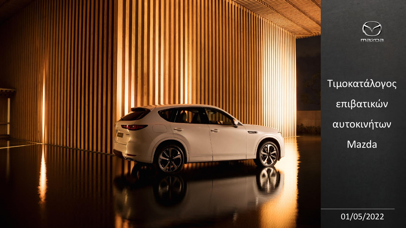

Τιμοκατάλογος επιβατικών αυτοκινήτων Mazda

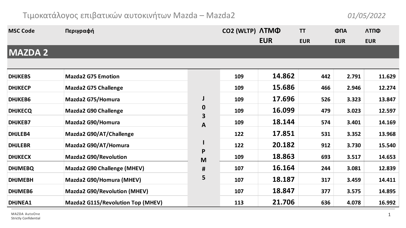## Τιμοκατάλογος επιβατικών αυτοκινήτων Mazda – Mazda2 *01/05/2022*

| <b>MSC Code</b> | Περιγραφή                           |                       | CO2 (WLTP) ATMO |            | <b>TT</b>  | ФПА        | ΛΤΠΦ       |
|-----------------|-------------------------------------|-----------------------|-----------------|------------|------------|------------|------------|
|                 |                                     |                       |                 | <b>EUR</b> | <b>EUR</b> | <b>EUR</b> | <b>EUR</b> |
| <b>MAZDA 2</b>  |                                     |                       |                 |            |            |            |            |
|                 |                                     |                       |                 |            |            |            |            |
| <b>DHJKEBS</b>  | <b>Mazda2 G75 Emotion</b>           |                       | 109             | 14.862     | 442        | 2.791      | 11.629     |
| <b>DHJKECP</b>  | <b>Mazda2 G75 Challenge</b>         |                       | 109             | 15.686     | 466        | 2.946      | 12.274     |
| <b>DHJKEB6</b>  | Mazda2 G75/Homura                   | J                     | 109             | 17.696     | 526        | 3.323      | 13.847     |
| <b>DHJKECQ</b>  | Mazda2 G90 Challenge                | $\boldsymbol{0}$<br>3 | 109             | 16.099     | 479        | 3.023      | 12.597     |
| <b>DHJKEB7</b>  | Mazda2 G90/Homura                   | A                     | 109             | 18.144     | 574        | 3.401      | 14.169     |
| DHJLEB4         | Mazda2 G90/AT/Challenge             |                       | 122             | 17.851     | 531        | 3.352      | 13.968     |
| <b>DHJLEBR</b>  | Mazda2 G90/AT/Homura                | $\mathbf{I}$          | 122             | 20.182     | 912        | 3.730      | 15.540     |
| <b>DHJKECX</b>  | <b>Mazda2 G90/Revolution</b>        | P<br>M                | 109             | 18.863     | 693        | 3.517      | 14.653     |
| <b>DHJMEBQ</b>  | Mazda2 G90 Challenge (MHEV)         | #                     | 107             | 16.164     | 244        | 3.081      | 12.839     |
| <b>DHJMEBH</b>  | Mazda2 G90/Homura (MHEV)            | 5                     | 107             | 18.187     | 317        | 3.459      | 14.411     |
| DHJMEB6         | <b>Mazda2 G90/Revolution (MHEV)</b> |                       | 107             | 18.847     | 377        | 3.575      | 14.895     |
| DHJNEA1         | Mazda2 G115/Revolution Top (MHEV)   |                       | 113             | 21.706     | 636        | 4.078      | 16.992     |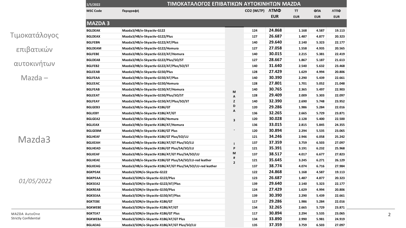| 1/5/2022        | ΤΙΜΟΚΑΤΑΛΟΓΟΣ ΕΠΙΒΑΤΙΚΩΝ ΑΥΤΟΚΙΝΗΤΩΝ ΜΑΖDΑ                |                              |                 |            |            |            |            |
|-----------------|-----------------------------------------------------------|------------------------------|-----------------|------------|------------|------------|------------|
| <b>MSC Code</b> | Περιγραφή                                                 |                              | CO2 (WLTP) ATMO |            | TT         | ФПА        | ΛΤΠΦ       |
|                 |                                                           |                              |                 | <b>EUR</b> | <b>EUR</b> | <b>EUR</b> | <b>EUR</b> |
| <b>MAZDA3</b>   |                                                           |                              |                 |            |            |            |            |
| <b>BGLDEAK</b>  | Mazda3/HB/e-Skyactiv-G122                                 |                              | 124             | 24.868     | 1.168      | 4.587      | 19.113     |
| <b>BGLDEAX</b>  | Mazda3/HB/e-Skyactiv-G122/Plus                            |                              | 127             | 26.687     | 1.487      | 4.877      | 20.323     |
| <b>BGLFEBN</b>  | Mazda3/HB/e-Skyactiv-G122/AT/Plus                         |                              | 140             | 29.640     | 2.140      | 5.323      | 22.177     |
| <b>BGLDEAM</b>  | Mazda3/HB/e-Skyactiv-G122/Homura                          |                              | 127             | 27.058     | 1.558      | 4.935      | 20.565     |
| <b>BGLFEBE</b>  | Mazda3/HB/e-Skyactiv-G122/AT/Homura                       |                              | 140             | 30.015     | 2.215      | 5.381      | 22.419     |
| <b>BGLDEA8</b>  | Mazda3/HB/e-Skyactiv-G122/Plus/SO/ST                      |                              | 127             | 28.667     | 1.867      | 5.187      | 21.613     |
| <b>BGLFEB2</b>  | Mazda3/HB/e-Skyactiv-G122/AT/Plus/SO/ST                   |                              | 140             | 31.640     | 2.540      | 5.632      | 23.468     |
| <b>BGLEEAB</b>  | Mazda3/HB/e-Skyactiv-G150/Plus                            |                              | 128             | 27.429     | 1.629      | 4.994      | 20.806     |
| <b>BGLFEAA</b>  | Mazda3/HB/e-Skyactiv-G150/AT/Plus                         |                              | 140             | 30.390     | 2.290      | 5.439      | 22.661     |
| <b>BGLEEAC</b>  | Mazda3/HB/e-Skyactiv-G150/Homura                          |                              | 128             | 27.801     | 1.701      | 5.052      | 21.048     |
| <b>BGLFEAB</b>  | Mazda3/HB/e-Skyactiv-G150/AT/Homura                       | М                            | 140             | 30.765     | 2.365      | 5.497      | 22.903     |
| <b>BGLEEAT</b>  | Mazda3/HB/e-Skyactiv-G150/Plus/SO/ST                      | А                            | 128             | 29.409     | 2.009      | 5.303      | 22.097     |
| <b>BGLFEAY</b>  | Mazda3/HB/e-Skyactiv-G150/AT/Plus/SO/ST                   | z                            | 140             | 32.390     | 2.690      | 5.748      | 23.952     |
| <b>BGLGEB3</b>  | Mazda3/HB/e-Skyactiv-X186/GT                              | D                            | 120             | 29.286     | 1.986      | 5.284      | 22.016     |
| <b>BGLJEBY</b>  | Mazda3/HB/e-Skyactiv-X186/AT/GT                           | А                            | 136             | 32.265     | 2.665      | 5.729      | 23.871     |
| <b>BGLGEA2</b>  | Mazda3/HB/e-Skyactiv-X186/Homura                          | 3                            | 120             | 30.028     | 2.128      | 5.400      | 22.500     |
| <b>BGLJEAX</b>  | Mazda3/HB/e-Skyactiv-X186/AT/Homura                       |                              | 136             | 33.015     | 2.815      | 5.845      | 24.355     |
| <b>BGLGEBM</b>  | Mazda3/HB/e-Skyactiv-X186/GT Plus                         |                              | 120             | 30.894     | 2.294      | 5.535      | 23.065     |
| <b>BGLHEAF</b>  | Mazda3/HB/e-Skyactiv-X186/GT Plus/SO/LU                   |                              | 121             | 34.246     | 2.946      | 6.058      | 25.242     |
| <b>BGLKEAH</b>  | Mazda3/HB/e-Skyactiv-X186/AT/GT Plus/SO/LU                | п                            | 137             | 37.359     | 3.759      | 6.503      | 27.097     |
| <b>BGLHEAD</b>  | Mazda3/HB/e-Skyactiv-X186/GT Plus/SA/SO/LU                | P                            | 121             | 35.391     | 3.191      | 6.232      | 25.968     |
| <b>BGLKEAF</b>  | Mazda3/HB/e-Skyactiv-X186/AT/GT Plus/SA/SO/LU             | M                            | 137             | 38.517     | 4.017      | 6.677      | 27.823     |
| <b>BGLHEAE</b>  | Mazda3/HB/e-Skyactiv-X186/GT Plus/SA/SO/LU-red leather    | #<br>$\overline{\mathbf{c}}$ | 121             | 35.645     | 3.245      | 6.271      | 26.129     |
| <b>BGLKEAG</b>  | Mazda3/HB/e-Skyactiv-X186/AT/GT Plus/SA/SO/LU-red leather |                              | 137             | 38.774     | 4.074      | 6.716      | 27.984     |
| <b>BGKPEAK</b>  | Mazda3/SDN/e-Skyactiv-G122                                |                              | 122             | 24.868     | 1.168      | 4.587      | 19.113     |
| <b>BGKPEAA</b>  | Mazda3/SDN/e-Skyactiv-G122/Plus                           |                              | 123             | 26.687     | 1.487      | 4.877      | 20.323     |
| <b>BGKSEA2</b>  | Mazda3/SDN/e-Skyactiv-G122/AT/Plus                        |                              | 139             | 29.640     | 2.140      | 5.323      | 22.177     |
| <b>BGKREAB</b>  | Mazda3/SDN/e-Skyactiv-G150/Plus                           |                              | 124             | 27.429     | 1.629      | 4.994      | 20.806     |
| <b>BGKSEAA</b>  | Mazda3/SDN/e-Skyactiv-G150/AT/Plus                        |                              | 139             | 30.390     | 2.290      | 5.439      | 22.661     |
| <b>BGKTEBE</b>  | Mazda3/SDN/e-Skyactiv-X186/GT                             |                              | 117             | 29.286     | 1.986      | 5.284      | 22.016     |
| <b>BGKWEBE</b>  | Mazda3/SDN/e-Skyactiv-X186/AT/GT                          |                              | 134             | 32.265     | 2.665      | 5.729      | 23.871     |
| <b>BGKTEA7</b>  | Mazda3/SDN/e-Skyactiv-X186/GT Plus                        |                              | 117             | 30.894     | 2.294      | 5.535      | 23.065     |
| <b>BGKWEBA</b>  | Mazda3/SDN/e-Skyactiv-X186/AT/GT Plus                     |                              | 134             | 33.890     | 2.990      | 5.981      | 24.919     |
| <b>BGLAEAG</b>  | Mazda3/SDN/e-Skyactiv-X186/AT/GT Plus/SO/LU               |                              | 135             | 37.359     | 3.759      | 6.503      | 27.097     |

Τιμοκατάλογος επιβατικών αυτοκινήτων Mazda –

Mazda3

*01/05/2022*

MAZDA AutoOne Strictly Confidential 2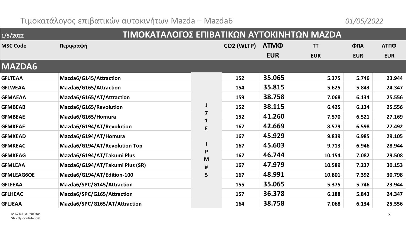## Τιμοκατάλογος επιβατικών αυτοκινήτων Mazda – Mazda6 *01/05/2022*

| 1/5/2022          | ΤΙΜΟΚΑΤΑΛΟΓΟΣ ΕΠΙΒΑΤΙΚΩΝ ΑΥΤΟΚΙΝΗΤΩΝ ΜΑΖDΑ |                             |            |             |            |            |            |
|-------------------|--------------------------------------------|-----------------------------|------------|-------------|------------|------------|------------|
| <b>MSC Code</b>   | Περιγραφή                                  |                             | CO2 (WLTP) | <b>ЛТМФ</b> | <b>TT</b>  | ФПА        | ΛΤΠΦ       |
|                   |                                            |                             |            | <b>EUR</b>  | <b>EUR</b> | <b>EUR</b> | <b>EUR</b> |
| <b>MAZDA6</b>     |                                            |                             |            |             |            |            |            |
| <b>GFLTEAA</b>    | Mazda6/G145/Attraction                     |                             | 152        | 35.065      | 5.375      | 5.746      | 23.944     |
| <b>GFLWEAA</b>    | Mazda6/G165/Attraction                     | J<br>7<br>$\mathbf{1}$<br>E | 154        | 35.815      | 5.625      | 5.843      | 24.347     |
| <b>GFMAEAA</b>    | Mazda6/G165/AT/Attraction                  |                             | 159        | 38.758      | 7.068      | 6.134      | 25.556     |
| <b>GFMBEAB</b>    | Mazda6/G165/Revolution                     |                             | 152        | 38.115      | 6.425      | 6.134      | 25.556     |
| <b>GFMBEAE</b>    | Mazda6/G165/Homura                         |                             | 152        | 41.260      | 7.570      | 6.521      | 27.169     |
| <b>GFMKEAF</b>    | Mazda6/G194/AT/Revolution                  |                             | 167        | 42.669      | 8.579      | 6.598      | 27.492     |
| <b>GFMKEAD</b>    | Mazda6/G194/AT/Homura                      |                             | 167        | 45.929      | 9.839      | 6.985      | 29.105     |
| <b>GFMKEAC</b>    | Mazda6/G194/AT/Revolution Top              |                             | 167        | 45.603      | 9.713      | 6.946      | 28.944     |
| <b>GFMKEAG</b>    | Mazda6/G194/AT/Takumi Plus                 | P<br>M                      | 167        | 46.744      | 10.154     | 7.082      | 29.508     |
| <b>GFMLEAA</b>    | Mazda6/G194/AT/Takumi Plus (SR)            | #                           | 167        | 47.979      | 10.589     | 7.237      | 30.153     |
| <b>GFMLEAG6OE</b> | Mazda6/G194/AT/Edition-100                 | 5                           | 167        | 48.991      | 10.801     | 7.392      | 30.798     |
| <b>GFLFEAA</b>    | Mazda6/SPC/G145/Attraction                 |                             | 155        | 35.065      | 5.375      | 5.746      | 23.944     |
| <b>GFLHEAC</b>    | Mazda6/SPC/G165/Attraction                 |                             | 157        | 36.378      | 6.188      | 5.843      | 24.347     |
| <b>GFLJEAA</b>    | Mazda6/SPC/G165/AT/Attraction              |                             | 164        | 38.758      | 7.068      | 6.134      | 25.556     |
|                   |                                            |                             |            |             |            |            |            |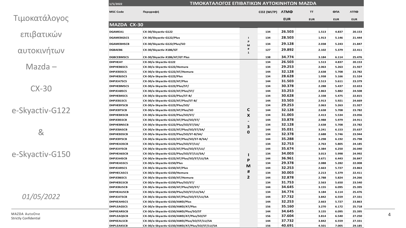|  |  | Τιμοκατάλογος |
|--|--|---------------|
|  |  |               |

**1/5/2022**

επιβατικών

αυτοκινήτων

Mazda –

CX -30

e -Skyactiv -G122

&

e -Skyactiv -G150

*0 1/0 5/2022*

MAZDA AutoOne Strictly Confidential

| <b>MSC Code</b>    | Περιγραφή                                     |                | CO2 (WLTP) ATMO |            | π          | ФПА        | ΛΤΠΦ       |
|--------------------|-----------------------------------------------|----------------|-----------------|------------|------------|------------|------------|
|                    |                                               |                |                 | <b>EUR</b> | <b>EUR</b> | <b>EUR</b> | <b>EUR</b> |
| <b>MAZDA CX-30</b> |                                               |                |                 |            |            |            |            |
| DGAMEA1            | CX-30/Skyactiv-G122                           |                | 134             | 26.503     | 1.513      | 4.837      | 20.153     |
| <b>DGAMEBGSCS</b>  | CX-30/Skyactiv-G122/Plus                      | $\blacksquare$ | 134             | 28.503     | 1.913      | 5.146      | 21.444     |
| <b>DGAMEBHSCB</b>  | CX-30/Skyactiv-G122/Plus/SO                   | P<br>M         | 134             | 29.128     | 2.038      | 5.243      | 21.847     |
| DGBAEB6            | CX-30/Skyactiv-X186/GT                        | $\sharp\sharp$ | 127             | 29.892     | 2.102      | 5.379      | 22.411     |
| <b>DGBCEBMSCS</b>  | CX-30/Skyactiv-X186/AT/GT Plus                | $\mathbf{1}$   | 138             | 34.774     | 3.184      | 6.114      | 25.476     |
| <b>DHPHEAY</b>     | CX-30/e-Skyactiv-G122                         |                | 134             | 26.503     | 1.513      | 4.837      | 20.153     |
| <b>DHPHEB6SCS</b>  | CX-30/e-Skyactiv-G122/Homura                  |                | 134             | 29.253     | 2.063      | 5.263      | 21.927     |
| <b>DHPJEB3SCS</b>  | CX-30/e-Skyactiv-G122/AT/Homura               |                | 144             | 32.128     | 2.638      | 5.708      | 23.782     |
| <b>DHPHEBJSCS</b>  | CX-30/e-Skyactiv-G122/Plus                    |                | 134             | 28.628     | 1.938      | 5.166      | 21.524     |
| DHPJEA7SCS         | CX-30/e-Skyactiv-G122/AT/Plus                 |                | 144             | 31.503     | 2.513      | 5.611      | 23.379     |
| <b>DHPHEBMSCS</b>  | CX-30/e-Skyactiv-G122/Plus/ST/                |                | 134             | 30.378     | 2.288      | 5.437      | 22.653     |
| DHPJEA8SCS         | CX-30/e-Skyactiv-G122/AT/Plus/ST/             |                | 144             | 33.253     | 2.863      | 5.882      | 24.508     |
| DHPHEB4SCS         | CX-30/e-Skyactiv-G122/Plus/ST-B/              |                | 134             | 30.628     | 2.338      | 5.475      | 22.815     |
| DHPJEB1SCS         |                                               |                | 144             | 33.503     | 2.913      | 5.921      | 24.669     |
|                    | CX-30/e-Skyactiv-G122/AT/Plus/ST-B/           |                |                 | 29.253     |            |            |            |
| <b>DHPHEBYSCB</b>  | CX-30/e-Skyactiv-G122/Plus/SO/                |                | 134             |            | 2.063      | 5.263      | 21.927     |
| <b>DHPJEBTSCB</b>  | CX-30/e-Skyactiv-G122/AT/Plus/SO              | C              | 144             | 32.128     | 2.638      | 5.708      | 23.782     |
| <b>DHPHEBXSCB</b>  | CX-30/e-Skyactiv-G122/Plus/SO/ST/             | X              | 134             | 31.003     | 2.413      | 5.534      | 23.056     |
| <b>DHPJEBSSCB</b>  | CX-30/e-Skyactiv-G122/AT/Plus/SO/ST/          |                | 144             | 33.878     | 2.988      | 5.979      | 24.911     |
| <b>DHPHEBNSCB</b>  | CX-30/e-Skyactiv-G122/Plus/SO/ST/SA/          | 3              | 134             | 32.128     | 2.638      | 5.708      | 23.782     |
| <b>DHPJEBASCB</b>  | CX-30/e-Skyactiv-G122/AT/Plus/SO/ST/SA/       | $\mathbf 0$    | 144             | 35.031     | 3.241      | 6.153      | 25.637     |
| DHPHEB3SCB         | CX-30/e-Skyactiv-G122/Plus/SO/ST-B/SA/        |                | 134             | 32.378     | 2.688      | 5.746      | 23.944     |
| <b>DHPJEBYSCB</b>  | CX-30/e-Skyactiv-G122/AT/Plus/SO/ST-B/SA/     |                | 144             | 35.288     | 3.298      | 6.192      | 25.798     |
| DHPHEA3SCB         | CX-30/e-Skyactiv-G122/Plus/SO/ST/LU/          |                | 134             | 32.753     | 2.763      | 5.805      | 24.185     |
| <b>DHPJEAYSCB</b>  | CX-30/e-Skyactiv-G122/AT/Plus/SO/ST/LU/       |                | 144             | 35.674     | 3.384      | 6.250      | 26.040     |
| <b>DHPHEA6SCB</b>  | CX-30/e-Skyactiv-G122/Plus/SO/ST/LU/SA/       | 1              | 134             | 34.003     | 3.013      | 5.998      | 24.992     |
| DHPJEA4SCB         | CX-30/e-Skyactiv-G122/AT/Plus/SO/ST/LU/SA     | P              | 144             | 36.961     | 3.671      | 6.443      | 26.847     |
| <b>DHPHEASSCS</b>  | CX-30/e-Skyactiv-G150/Plus                    |                | 134             | 29.378     | 2.088      | 5.282      | 22.008     |
| <b>DHPJEARSCS</b>  | CX-30/e-Skyactiv-G150/AT/Plus                 | М              | 144             | 32.253     | 2.663      | 5.727      | 23.863     |
| <b>DHPHECASCS</b>  | CX-30/e-Skyactiv-G150/Homura                  | #              | 134             | 30.003     | 2.213      | 5.379      | 22.411     |
| <b>DHPJEB6SCS</b>  | CX-30/e-Skyactiv-G150/AT/Homura               | $\overline{2}$ | 144             | 32.878     | 2.788      | 5.824      | 24.266     |
| DHPHEB1SCB         | CX-30/e-Skyactiv-G150/Plus/SO/ST/             |                | 134             | 31.753     | 2.563      | 5.650      | 23.540     |
| <b>DHPJEBUSCB</b>  | CX-30/e-Skyactiv-G150/AT/Plus/SO/ST/          |                | 144             | 34.645     | 3.155      | 6.095      | 25.395     |
| <b>DHPHEAUSCB</b>  | CX-30/e-Skyactiv-G150/Plus/SO/ST/LU/SA/       |                | 134             | 34.774     | 3.184      | 6.114      | 25.476     |
| <b>DHPJEATSCB</b>  | CX-30/e-Skyactiv-G150/AT/Plus/SO/ST/LU/SA     |                | 144             | 37.732     | 3.842      | 6.559      | 27.331     |
| <b>DHPKEAHSCS</b>  | CX-30/e-Skyactiv-G150/AWD/Plus                |                | 144             | 32.253     | 2.663      | 5.727      | 23.863     |
| <b>DHPLEAGSCS</b>  | CX-30/e-Skyactiv-G150/AWD/AT/Plus             |                | 156             | 35.160     | 3.270      | 6.172      | 25.718     |
| <b>DHPKEARSCB</b>  | CX-30/e-Skyactiv-G150/AWD/Plus/SO/ST          |                | 144             | 34.645     | 3.155      | 6.095      | 25.395     |
|                    | CX-30/e-Skyactiv-G150/AWD/AT/Plus/SO/ST       |                |                 | 37.604     |            | 6.540      |            |
| <b>DHPLEAQSCB</b>  |                                               |                | 156             |            | 3.814      |            | 27.250     |
| <b>DHPKEALSCB</b>  | CX-30/e-Skyactiv-G150/AWD/Plus/SO/ST/LU/SA    |                | 144             | 37.732     | 3.842      | 6.559      | 27.331     |
| <b>DHPLEAKSCB</b>  | CX-30/e-Skyactiv-G150/AWD/AT/Plus/SO/ST/LU/SA |                | 156             | 40.691     | 4.501      | 7.005      | 29.185     |

**ΤΙΜΟΚΑΤΑΛΟΓΟΣ ΕΠΙΒΑΤΙΚΩΝ ΑΥΤΟΚΙΝΗΤΩΝ MAZDA**

4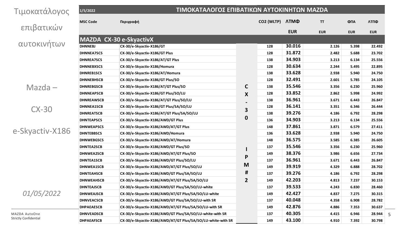| Τιμοκατάλογος                | 1/5/2022          |                                                             | ΤΙΜΟΚΑΤΑΛΟΓΟΣ ΕΠΙΒΑΤΙΚΩΝ ΑΥΤΟΚΙΝΗΤΩΝ ΜΑΖDΑ |                 |            |            |            |            |  |
|------------------------------|-------------------|-------------------------------------------------------------|--------------------------------------------|-----------------|------------|------------|------------|------------|--|
|                              | <b>MSC Code</b>   | Περιγραφή                                                   |                                            | CO2 (WLTP) ATMO |            | TT         | ФПА        | ΛΤΠΦ       |  |
| επιβατικών                   |                   |                                                             |                                            |                 | <b>EUR</b> | <b>EUR</b> | <b>EUR</b> | <b>EUR</b> |  |
|                              |                   | MAZDA CX-30 e-SkyactivX                                     |                                            |                 |            |            |            |            |  |
| αυτοκινήτων                  | <b>DHNNEBJ</b>    | CX-30/e-Skyactiv-X186/GT                                    |                                            | 128             | 30.016     | 2.126      | 5.398      | 22.492     |  |
|                              | <b>DHNNEA7SCS</b> | CX-30/e-Skyactiv-X186/GT Plus                               |                                            | 128             | 31.872     | 2.482      | 5.688      | 23.702     |  |
|                              | <b>DHNREA7SCS</b> | CX-30/e-Skyactiv-X186/AT/GT Plus                            |                                            | 138             | 34.903     | 3.213      | 6.134      | 25.556     |  |
|                              | <b>DHNNEBXSCS</b> | CX-30/e-Skyactiv-X186/Homura                                |                                            | 128             | 30.634     | 2.244      | 5.495      | 22.895     |  |
|                              | <b>DHNREB1SCS</b> | CX-30/e-Skyactiv-X186/AT/Homura                             |                                            | 138             | 33.628     | 2.938      | 5.940      | 24.750     |  |
|                              | <b>DHNNEBHSCB</b> | CX-30/e-Skyactiv-X186/GT Plus/SO                            |                                            | 128             | 32.491     | 2.601      | 5.785      | 24.105     |  |
| $Mazda -$                    | <b>DHNREBGSCB</b> | CX-30/e-Skyactiv-X186/AT/GT Plus/SO                         | C                                          | 138             | 35.546     | 3.356      | 6.230      | 25.960     |  |
|                              | <b>DHNNEAPSCB</b> | CX-30/e-Skyactiv-X186/GT Plus/SO/LU                         | X                                          | 128             | 33.852     | 2.862      | 5.998      | 24.992     |  |
|                              | <b>DHNREAWSCB</b> | CX-30/e-Skyactiv-X186/AT/GT Plus/SO/LU                      |                                            | 138             | 36.961     | 3.671      | 6.443      | 26.847     |  |
|                              | <b>DHNNEA1SCB</b> | CX-30/e-Skyactiv-X186/GT Plus/SA/SO/LU                      |                                            | 128             | 36.141     | 3.351      | 6.346      | 26.444     |  |
|                              | <b>DHNREATSCB</b> | CX-30/e-Skyactiv-X186/AT/GT Plus/SA/SO/LU                   | 3                                          | 138             | 39.276     | 4.186      | 6.792      | 28.298     |  |
|                              | <b>DHNTEAPSCS</b> | CX-30/e-Skyactiv-X186/AWD/GT Plus                           | 0                                          | 136             | 34.903     | 3.213      | 6.134      | 25.556     |  |
|                              | <b>DHNWEAPSCS</b> | CX-30/e-Skyactiv-X186/AWD/AT/GT Plus                        |                                            | 148             | 37.861     | 3.871      | 6.579      | 27.411     |  |
| $CX-30$<br>e-Skyactiv-X186   | <b>DHNTEBBSCS</b> | CX-30/e-Skyactiv-X186/AWD/Homura                            |                                            | 136             | 33.628     | 2.938      | 5.940      | 24.750     |  |
|                              | <b>DHNWEBGSCS</b> | CX-30/e-Skyactiv-X186/AWD/AT/Homura                         |                                            | 148             | 36.575     | 3.585      | 6.385      | 26.605     |  |
|                              | <b>DHNTEA2SCB</b> | CX-30/e-Skyactiv-X186/AWD/GT Plus/SO                        |                                            | 137             | 35.546     | 3.356      | 6.230      | 25.960     |  |
|                              | DHNWEA2SCB        | CX-30/e-Skyactiv-X186/AWD/AT/GT Plus/SO                     |                                            | 149             | 38.376     | 3.986      | 6.656      | 27.734     |  |
|                              | <b>DHNTEA1SCB</b> | CX-30/e-Skyactiv-X186/AWD/GT Plus/SO/LU                     | P                                          | 137             | 36.961     | 3.671      | 6.443      | 26.847     |  |
|                              | DHNWEA1SCB        | CX-30/e-Skyactiv-X186/AWD/AT/GT Plus/SO/LU                  | M                                          | 149             | 39.919     | 4.329      | 6.888      | 28.702     |  |
|                              | <b>DHNTEAHSCB</b> | CX-30/e-Skyactiv-X186/AWD/GT Plus/SA/SO/LU                  | #                                          | 137             | 39.276     | 4.186      | 6.792      | 28.298     |  |
|                              | <b>DHNWEAHSCB</b> | CX-30/e-Skyactiv-X186/AWD/AT/GT Plus/SA/SO/LU               | 2                                          | 149             | 42.203     | 4.813      | 7.237      | 30.153     |  |
|                              | <b>DHNTEAJSCB</b> | CX-30/e-Skyactiv-X186/AWD/GT Plus/SA/SO/LU-white            |                                            | 137             | 39.533     | 4.243      | 6.830      | 28.460     |  |
| 01/05/2022                   | <b>DHNWEAJSCB</b> | CX-30/e-Skyactiv-X186/AWD/AT/GT Plus/SA/SO/LU-white         |                                            | 149             | 42.427     | 4.837      | 7.275      | 30.315     |  |
|                              | <b>DHNVEACSCB</b> | CX-30/e-Skyactiv-X186/AWD/GT Plus/SA/SO/LU-with SR          |                                            | 137             | 40.048     | 4.358      | 6.908      | 28.782     |  |
|                              | <b>DHPAEAESCB</b> | CX-30/e-Skyactiv-X186/AWD/AT/GT Plus/SA/SO/LU-with SR       |                                            | 149             | 42.876     | 4.886      | 7.353      | 30.637     |  |
| MAZDA AutoOne                | <b>DHNVEADSCB</b> | CX-30/e-Skyactiv-X186/AWD/GT Plus/SA/SO/LU-white-with SR    |                                            | 137             | 40.305     | 4.415      | 6.946      | 28.944     |  |
| <b>Strictly Confidential</b> | <b>DHPAEAFSCB</b> | CX-30/e-Skyactiv-X186/AWD/AT/GT Plus/SA/SO/LU-white-with SR |                                            | 149             | 43.100     | 4.910      | 7.392      | 30.798     |  |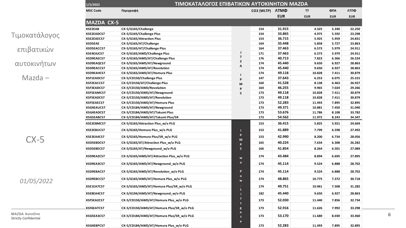|                                                 | ΤΙΜΟΚΑΤΑΛΟΓΟΣ ΕΠΙΒΑΤΙΚΩΝ ΑΥΤΟΚΙΝΗΤΩΝ ΜΑΖDΑ<br>1/5/2022                                                                                                                                                                                                                                                                                                                                                                                                                                                                                                                                                                                                                                                                                                                                                                                                                                                                                                                                                                                                                                                                                                                                                                                                                                                                                                                                                                                                                                                                                                                                                                                                                                                                                                                                                                                                     |                                 |        |     |                                                                                                                                                                                                                                                                  |                                                                                                                                                                                                                                                                                                                                                                                                                                                                                                                                                                                                           |            |            |
|-------------------------------------------------|------------------------------------------------------------------------------------------------------------------------------------------------------------------------------------------------------------------------------------------------------------------------------------------------------------------------------------------------------------------------------------------------------------------------------------------------------------------------------------------------------------------------------------------------------------------------------------------------------------------------------------------------------------------------------------------------------------------------------------------------------------------------------------------------------------------------------------------------------------------------------------------------------------------------------------------------------------------------------------------------------------------------------------------------------------------------------------------------------------------------------------------------------------------------------------------------------------------------------------------------------------------------------------------------------------------------------------------------------------------------------------------------------------------------------------------------------------------------------------------------------------------------------------------------------------------------------------------------------------------------------------------------------------------------------------------------------------------------------------------------------------------------------------------------------------------------------------------------------------|---------------------------------|--------|-----|------------------------------------------------------------------------------------------------------------------------------------------------------------------------------------------------------------------------------------------------------------------|-----------------------------------------------------------------------------------------------------------------------------------------------------------------------------------------------------------------------------------------------------------------------------------------------------------------------------------------------------------------------------------------------------------------------------------------------------------------------------------------------------------------------------------------------------------------------------------------------------------|------------|------------|
|                                                 | <b>MSC Code</b>                                                                                                                                                                                                                                                                                                                                                                                                                                                                                                                                                                                                                                                                                                                                                                                                                                                                                                                                                                                                                                                                                                                                                                                                                                                                                                                                                                                                                                                                                                                                                                                                                                                                                                                                                                                                                                            | Περιγραφή                       |        |     |                                                                                                                                                                                                                                                                  | <b>TT</b>                                                                                                                                                                                                                                                                                                                                                                                                                                                                                                                                                                                                 | ФПА        | ΛΤΠΦ       |
|                                                 |                                                                                                                                                                                                                                                                                                                                                                                                                                                                                                                                                                                                                                                                                                                                                                                                                                                                                                                                                                                                                                                                                                                                                                                                                                                                                                                                                                                                                                                                                                                                                                                                                                                                                                                                                                                                                                                            |                                 |        |     | <b>EUR</b>                                                                                                                                                                                                                                                       | <b>EUR</b>                                                                                                                                                                                                                                                                                                                                                                                                                                                                                                                                                                                                | <b>EUR</b> | <b>EUR</b> |
|                                                 |                                                                                                                                                                                                                                                                                                                                                                                                                                                                                                                                                                                                                                                                                                                                                                                                                                                                                                                                                                                                                                                                                                                                                                                                                                                                                                                                                                                                                                                                                                                                                                                                                                                                                                                                                                                                                                                            |                                 |        |     |                                                                                                                                                                                                                                                                  |                                                                                                                                                                                                                                                                                                                                                                                                                                                                                                                                                                                                           |            |            |
|                                                 | <b>KSE2EAB</b>                                                                                                                                                                                                                                                                                                                                                                                                                                                                                                                                                                                                                                                                                                                                                                                                                                                                                                                                                                                                                                                                                                                                                                                                                                                                                                                                                                                                                                                                                                                                                                                                                                                                                                                                                                                                                                             | CX-5/G165/Challenge             |        | 154 | 31.915                                                                                                                                                                                                                                                           | 4.325                                                                                                                                                                                                                                                                                                                                                                                                                                                                                                                                                                                                     | 5.340      | 22.250     |
|                                                 | <b>KSE2EADCS7</b>                                                                                                                                                                                                                                                                                                                                                                                                                                                                                                                                                                                                                                                                                                                                                                                                                                                                                                                                                                                                                                                                                                                                                                                                                                                                                                                                                                                                                                                                                                                                                                                                                                                                                                                                                                                                                                          | CX-5/G165/Challenge Plus        |        | 154 | 33.865                                                                                                                                                                                                                                                           | 4.975                                                                                                                                                                                                                                                                                                                                                                                                                                                                                                                                                                                                     | 5.592      | 23.298     |
|                                                 | KSE2EAECS7                                                                                                                                                                                                                                                                                                                                                                                                                                                                                                                                                                                                                                                                                                                                                                                                                                                                                                                                                                                                                                                                                                                                                                                                                                                                                                                                                                                                                                                                                                                                                                                                                                                                                                                                                                                                                                                 | CX-5/G165/Attraction Plus       |        | 153 | 36.715                                                                                                                                                                                                                                                           | 5.925<br>5.959<br>5.727<br>5.858<br>6.573<br>5.979<br>6.573<br>5.979<br>7.823<br>6.366<br>9.650<br>6.927<br>9.650<br>6.927<br>10.828<br>7.411<br>6.253<br>6.075<br>6.463<br>8.138<br>9.965<br>7.024<br>7.411<br>10.828<br>7.411<br>10.828<br>11.493<br>7.895<br>10.881<br>7.450<br>11.786<br>8.108<br>11.972<br>8.243<br>5.825<br>5.921<br>7.799<br>6.598<br>8.200<br>6.734<br>7.634<br>6.308<br>8.264<br>6.501<br>8.894<br>6.695<br>9.524<br>6.888<br>9.524<br>6.888<br>10.775<br>7.372<br>10.961<br>7.508<br>9.650<br>6.927<br>7.856<br>11.440<br>7.992<br>11.626<br>11.680<br>8.030<br>11.493<br>7.895 | 24.831     |            |
|                                                 | <b>KSD5EAE</b>                                                                                                                                                                                                                                                                                                                                                                                                                                                                                                                                                                                                                                                                                                                                                                                                                                                                                                                                                                                                                                                                                                                                                                                                                                                                                                                                                                                                                                                                                                                                                                                                                                                                                                                                                                                                                                             | CX-5/G165/AT/Challenge          |        | 164 | 35.448                                                                                                                                                                                                                                                           |                                                                                                                                                                                                                                                                                                                                                                                                                                                                                                                                                                                                           |            | 23.863     |
|                                                 | <b>KSD5EACCS7</b>                                                                                                                                                                                                                                                                                                                                                                                                                                                                                                                                                                                                                                                                                                                                                                                                                                                                                                                                                                                                                                                                                                                                                                                                                                                                                                                                                                                                                                                                                                                                                                                                                                                                                                                                                                                                                                          | CX-5/G165/AT/Challenge Plus     |        | 164 | 37.463                                                                                                                                                                                                                                                           |                                                                                                                                                                                                                                                                                                                                                                                                                                                                                                                                                                                                           | 24.911     |            |
|                                                 | <b>KSE4EAJCS7</b>                                                                                                                                                                                                                                                                                                                                                                                                                                                                                                                                                                                                                                                                                                                                                                                                                                                                                                                                                                                                                                                                                                                                                                                                                                                                                                                                                                                                                                                                                                                                                                                                                                                                                                                                                                                                                                          | CX-5/G165/AWD/Challenge Plus    |        | 171 | 37.463<br>40.713<br>45.440<br>45.440<br>49.118<br>37.643<br>41.528<br>46.255<br>49.118<br>49.118<br>52.283<br>49.371<br>53.676<br>54.562<br>36.415<br>41.889<br>42.990<br>40.224<br>41.854<br>43.484<br>45.114<br>45.114<br>48.865<br>49.751<br>45.440<br>52.030 |                                                                                                                                                                                                                                                                                                                                                                                                                                                                                                                                                                                                           | 24.911     |            |
|                                                 | KSD9EAECS7                                                                                                                                                                                                                                                                                                                                                                                                                                                                                                                                                                                                                                                                                                                                                                                                                                                                                                                                                                                                                                                                                                                                                                                                                                                                                                                                                                                                                                                                                                                                                                                                                                                                                                                                                                                                                                                 | CX-5/G165/AWD/AT/Challenge Plus |        | 176 |                                                                                                                                                                                                                                                                  |                                                                                                                                                                                                                                                                                                                                                                                                                                                                                                                                                                                                           |            | 26.524     |
|                                                 | CO2 (WLTP) ATMO<br><b>MAZDA CX-5</b><br>$\mathsf J$<br>$\overline{\mathbf{z}}$<br>$\mathbf 2$<br>174<br>KSD9EAQCS7<br>CX-5/G165/AWD/AT/Newground<br>A<br>CX-5/G165/AWD/AT/Revolution<br>174<br>KSD9EACCS7<br>174<br>KSD9EAHCS7<br>CX-5/G165/AWD/AT/Homura Plus<br><b>KSF1EADCS7</b><br>CX-5/CD150/Challenge Plus<br>147<br>P<br><b>KSF2EACCS7</b><br>CX-5/CD150/AT/Challenge Plus<br>160<br>M<br>KSF3EADCS7<br>164<br>CX-5/CD150/AWD/Revolution<br>#<br>173<br><b>KSF5EAMCS7</b><br>CX-5/CD150/AWD/AT/Newground<br>5<br>173<br><b>KSF5EADCS7</b><br>CX-5/CD150/AWD/AT/Revolution<br><b>KSF5EAECS7</b><br>CX-5/CD150/AWD/AT/Homura Plus<br>173<br>173<br>KSG4EAUCS7<br>CX-5/CD184/AWD/AT/Newground<br>173<br>KSG4EADCS7<br>CX-5/CD184/AWD/AT/Takumi Plus<br><b>KSG5EABCS7</b><br>173<br>CX-5/CD184/AWD/AT/Takumi Plus/SR<br><b>KSE2EBMCS7</b><br>CX-5/G165/Attraction Plus_w/o PLG<br>153<br><b>KSE2EBUCS7</b><br>CX-5/G165/Homura Plus_w/o PLG<br>153<br>P<br>KSE3EA4CS7<br>CX-5/G165/Homura Plus/SR_w/o PLG<br>153<br>M<br>KSD5EBDCS7<br>CX-5/G165/AT/Attraction Plus_w/o PLG<br>165<br>#<br>5 <sup>1</sup><br>KSD5EBECS7<br>CX-5/G165/AT/Newground_w/o PLG<br>166<br>CX-5/G165/AWD/AT/Attraction Plus_w/o PLG<br>174<br>KSD9EA2CS7<br>w<br>$\mathbf{o}$<br>CX-5/G165/AWD/AT/Newground_w/o PLG<br>KSD9EA3CS7<br>174<br>$\mathsf{P}$<br>KSD9EBACS7<br>CX-5/G165/AWD/AT/Revolution_w/o PLG<br>174<br>$\circ$<br>CX-5/G165/AWD/AT/Homura Plus_w/o PLG<br>174<br>KSD9EBCCS7<br>w<br>KSE1EA7CS7<br>CX-5/G165/AWD/AT/Homura Plus/SR_w/o PLG<br>174<br>L<br>KSE8EA4CS7<br>CX-5/G194/AWD/AT/Newground_w/o PLG<br>182<br>CX-5/CD150/AWD/AT/Homura Plus_w/o PLG<br>173<br>KSF5EA2CS7<br>52.916<br>KSF6EATCS7<br>CX-5/CD150/AWD/AT/Homura Plus/SR_w/o PLG<br>173<br>$\mathsf g$<br>a<br>53.170<br>CX-5/CD184/AWD/AT/Homura Plus/SR w/o PLG<br>173<br>KSG5EA3CS7<br>e |                                 | 28.863 |     |                                                                                                                                                                                                                                                                  |                                                                                                                                                                                                                                                                                                                                                                                                                                                                                                                                                                                                           |            |            |
| επιβατικών<br>$Mazda -$<br>$CX-5$<br>01/05/2022 |                                                                                                                                                                                                                                                                                                                                                                                                                                                                                                                                                                                                                                                                                                                                                                                                                                                                                                                                                                                                                                                                                                                                                                                                                                                                                                                                                                                                                                                                                                                                                                                                                                                                                                                                                                                                                                                            |                                 |        |     |                                                                                                                                                                                                                                                                  |                                                                                                                                                                                                                                                                                                                                                                                                                                                                                                                                                                                                           |            | 28.863     |
|                                                 | 52.283<br>KSG4EBPCS7<br>CX-5/CD184/AWD/AT/Homura Plus_w/o PLG<br>173                                                                                                                                                                                                                                                                                                                                                                                                                                                                                                                                                                                                                                                                                                                                                                                                                                                                                                                                                                                                                                                                                                                                                                                                                                                                                                                                                                                                                                                                                                                                                                                                                                                                                                                                                                                       |                                 | 30.879 |     |                                                                                                                                                                                                                                                                  |                                                                                                                                                                                                                                                                                                                                                                                                                                                                                                                                                                                                           |            |            |
| Τιμοκατάλογος<br>αυτοκινήτων                    |                                                                                                                                                                                                                                                                                                                                                                                                                                                                                                                                                                                                                                                                                                                                                                                                                                                                                                                                                                                                                                                                                                                                                                                                                                                                                                                                                                                                                                                                                                                                                                                                                                                                                                                                                                                                                                                            |                                 |        |     |                                                                                                                                                                                                                                                                  |                                                                                                                                                                                                                                                                                                                                                                                                                                                                                                                                                                                                           |            | 25.315     |
|                                                 |                                                                                                                                                                                                                                                                                                                                                                                                                                                                                                                                                                                                                                                                                                                                                                                                                                                                                                                                                                                                                                                                                                                                                                                                                                                                                                                                                                                                                                                                                                                                                                                                                                                                                                                                                                                                                                                            |                                 |        |     |                                                                                                                                                                                                                                                                  |                                                                                                                                                                                                                                                                                                                                                                                                                                                                                                                                                                                                           |            | 26.927     |
|                                                 |                                                                                                                                                                                                                                                                                                                                                                                                                                                                                                                                                                                                                                                                                                                                                                                                                                                                                                                                                                                                                                                                                                                                                                                                                                                                                                                                                                                                                                                                                                                                                                                                                                                                                                                                                                                                                                                            |                                 |        |     |                                                                                                                                                                                                                                                                  |                                                                                                                                                                                                                                                                                                                                                                                                                                                                                                                                                                                                           |            | 29.266     |
|                                                 |                                                                                                                                                                                                                                                                                                                                                                                                                                                                                                                                                                                                                                                                                                                                                                                                                                                                                                                                                                                                                                                                                                                                                                                                                                                                                                                                                                                                                                                                                                                                                                                                                                                                                                                                                                                                                                                            |                                 |        |     |                                                                                                                                                                                                                                                                  |                                                                                                                                                                                                                                                                                                                                                                                                                                                                                                                                                                                                           |            | 30.879     |
|                                                 |                                                                                                                                                                                                                                                                                                                                                                                                                                                                                                                                                                                                                                                                                                                                                                                                                                                                                                                                                                                                                                                                                                                                                                                                                                                                                                                                                                                                                                                                                                                                                                                                                                                                                                                                                                                                                                                            |                                 |        |     |                                                                                                                                                                                                                                                                  |                                                                                                                                                                                                                                                                                                                                                                                                                                                                                                                                                                                                           |            | 30.879     |
|                                                 |                                                                                                                                                                                                                                                                                                                                                                                                                                                                                                                                                                                                                                                                                                                                                                                                                                                                                                                                                                                                                                                                                                                                                                                                                                                                                                                                                                                                                                                                                                                                                                                                                                                                                                                                                                                                                                                            |                                 |        |     |                                                                                                                                                                                                                                                                  |                                                                                                                                                                                                                                                                                                                                                                                                                                                                                                                                                                                                           |            | 32.895     |
|                                                 |                                                                                                                                                                                                                                                                                                                                                                                                                                                                                                                                                                                                                                                                                                                                                                                                                                                                                                                                                                                                                                                                                                                                                                                                                                                                                                                                                                                                                                                                                                                                                                                                                                                                                                                                                                                                                                                            |                                 |        |     |                                                                                                                                                                                                                                                                  |                                                                                                                                                                                                                                                                                                                                                                                                                                                                                                                                                                                                           |            | 31.040     |
|                                                 |                                                                                                                                                                                                                                                                                                                                                                                                                                                                                                                                                                                                                                                                                                                                                                                                                                                                                                                                                                                                                                                                                                                                                                                                                                                                                                                                                                                                                                                                                                                                                                                                                                                                                                                                                                                                                                                            |                                 |        |     |                                                                                                                                                                                                                                                                  |                                                                                                                                                                                                                                                                                                                                                                                                                                                                                                                                                                                                           |            | 33.782     |
|                                                 |                                                                                                                                                                                                                                                                                                                                                                                                                                                                                                                                                                                                                                                                                                                                                                                                                                                                                                                                                                                                                                                                                                                                                                                                                                                                                                                                                                                                                                                                                                                                                                                                                                                                                                                                                                                                                                                            |                                 |        |     |                                                                                                                                                                                                                                                                  |                                                                                                                                                                                                                                                                                                                                                                                                                                                                                                                                                                                                           |            | 34.347     |
|                                                 |                                                                                                                                                                                                                                                                                                                                                                                                                                                                                                                                                                                                                                                                                                                                                                                                                                                                                                                                                                                                                                                                                                                                                                                                                                                                                                                                                                                                                                                                                                                                                                                                                                                                                                                                                                                                                                                            |                                 |        |     |                                                                                                                                                                                                                                                                  |                                                                                                                                                                                                                                                                                                                                                                                                                                                                                                                                                                                                           |            | 24.669     |
|                                                 |                                                                                                                                                                                                                                                                                                                                                                                                                                                                                                                                                                                                                                                                                                                                                                                                                                                                                                                                                                                                                                                                                                                                                                                                                                                                                                                                                                                                                                                                                                                                                                                                                                                                                                                                                                                                                                                            |                                 |        |     |                                                                                                                                                                                                                                                                  |                                                                                                                                                                                                                                                                                                                                                                                                                                                                                                                                                                                                           |            | 27.492     |
|                                                 |                                                                                                                                                                                                                                                                                                                                                                                                                                                                                                                                                                                                                                                                                                                                                                                                                                                                                                                                                                                                                                                                                                                                                                                                                                                                                                                                                                                                                                                                                                                                                                                                                                                                                                                                                                                                                                                            |                                 |        |     |                                                                                                                                                                                                                                                                  |                                                                                                                                                                                                                                                                                                                                                                                                                                                                                                                                                                                                           |            | 28.056     |
|                                                 |                                                                                                                                                                                                                                                                                                                                                                                                                                                                                                                                                                                                                                                                                                                                                                                                                                                                                                                                                                                                                                                                                                                                                                                                                                                                                                                                                                                                                                                                                                                                                                                                                                                                                                                                                                                                                                                            |                                 |        |     | 26.282                                                                                                                                                                                                                                                           |                                                                                                                                                                                                                                                                                                                                                                                                                                                                                                                                                                                                           |            |            |
|                                                 |                                                                                                                                                                                                                                                                                                                                                                                                                                                                                                                                                                                                                                                                                                                                                                                                                                                                                                                                                                                                                                                                                                                                                                                                                                                                                                                                                                                                                                                                                                                                                                                                                                                                                                                                                                                                                                                            |                                 |        |     |                                                                                                                                                                                                                                                                  |                                                                                                                                                                                                                                                                                                                                                                                                                                                                                                                                                                                                           | 27.089     |            |
|                                                 |                                                                                                                                                                                                                                                                                                                                                                                                                                                                                                                                                                                                                                                                                                                                                                                                                                                                                                                                                                                                                                                                                                                                                                                                                                                                                                                                                                                                                                                                                                                                                                                                                                                                                                                                                                                                                                                            |                                 |        |     |                                                                                                                                                                                                                                                                  |                                                                                                                                                                                                                                                                                                                                                                                                                                                                                                                                                                                                           |            | 27.895     |
|                                                 |                                                                                                                                                                                                                                                                                                                                                                                                                                                                                                                                                                                                                                                                                                                                                                                                                                                                                                                                                                                                                                                                                                                                                                                                                                                                                                                                                                                                                                                                                                                                                                                                                                                                                                                                                                                                                                                            |                                 |        |     |                                                                                                                                                                                                                                                                  |                                                                                                                                                                                                                                                                                                                                                                                                                                                                                                                                                                                                           |            | 28.702     |
|                                                 |                                                                                                                                                                                                                                                                                                                                                                                                                                                                                                                                                                                                                                                                                                                                                                                                                                                                                                                                                                                                                                                                                                                                                                                                                                                                                                                                                                                                                                                                                                                                                                                                                                                                                                                                                                                                                                                            |                                 |        |     |                                                                                                                                                                                                                                                                  |                                                                                                                                                                                                                                                                                                                                                                                                                                                                                                                                                                                                           |            |            |
|                                                 |                                                                                                                                                                                                                                                                                                                                                                                                                                                                                                                                                                                                                                                                                                                                                                                                                                                                                                                                                                                                                                                                                                                                                                                                                                                                                                                                                                                                                                                                                                                                                                                                                                                                                                                                                                                                                                                            |                                 |        |     |                                                                                                                                                                                                                                                                  |                                                                                                                                                                                                                                                                                                                                                                                                                                                                                                                                                                                                           |            | 28.702     |
|                                                 |                                                                                                                                                                                                                                                                                                                                                                                                                                                                                                                                                                                                                                                                                                                                                                                                                                                                                                                                                                                                                                                                                                                                                                                                                                                                                                                                                                                                                                                                                                                                                                                                                                                                                                                                                                                                                                                            |                                 |        |     |                                                                                                                                                                                                                                                                  |                                                                                                                                                                                                                                                                                                                                                                                                                                                                                                                                                                                                           |            | 30.718     |
|                                                 |                                                                                                                                                                                                                                                                                                                                                                                                                                                                                                                                                                                                                                                                                                                                                                                                                                                                                                                                                                                                                                                                                                                                                                                                                                                                                                                                                                                                                                                                                                                                                                                                                                                                                                                                                                                                                                                            |                                 |        |     |                                                                                                                                                                                                                                                                  |                                                                                                                                                                                                                                                                                                                                                                                                                                                                                                                                                                                                           |            | 31.282     |
|                                                 |                                                                                                                                                                                                                                                                                                                                                                                                                                                                                                                                                                                                                                                                                                                                                                                                                                                                                                                                                                                                                                                                                                                                                                                                                                                                                                                                                                                                                                                                                                                                                                                                                                                                                                                                                                                                                                                            |                                 |        |     |                                                                                                                                                                                                                                                                  |                                                                                                                                                                                                                                                                                                                                                                                                                                                                                                                                                                                                           |            | 28.863     |
|                                                 |                                                                                                                                                                                                                                                                                                                                                                                                                                                                                                                                                                                                                                                                                                                                                                                                                                                                                                                                                                                                                                                                                                                                                                                                                                                                                                                                                                                                                                                                                                                                                                                                                                                                                                                                                                                                                                                            |                                 |        |     |                                                                                                                                                                                                                                                                  |                                                                                                                                                                                                                                                                                                                                                                                                                                                                                                                                                                                                           |            | 32.734     |
|                                                 |                                                                                                                                                                                                                                                                                                                                                                                                                                                                                                                                                                                                                                                                                                                                                                                                                                                                                                                                                                                                                                                                                                                                                                                                                                                                                                                                                                                                                                                                                                                                                                                                                                                                                                                                                                                                                                                            |                                 |        |     |                                                                                                                                                                                                                                                                  |                                                                                                                                                                                                                                                                                                                                                                                                                                                                                                                                                                                                           |            | 33.298     |
| MAZDA AutoOne                                   |                                                                                                                                                                                                                                                                                                                                                                                                                                                                                                                                                                                                                                                                                                                                                                                                                                                                                                                                                                                                                                                                                                                                                                                                                                                                                                                                                                                                                                                                                                                                                                                                                                                                                                                                                                                                                                                            |                                 |        |     |                                                                                                                                                                                                                                                                  |                                                                                                                                                                                                                                                                                                                                                                                                                                                                                                                                                                                                           |            | 33.460     |
| <b>Strictly Confidential</b>                    |                                                                                                                                                                                                                                                                                                                                                                                                                                                                                                                                                                                                                                                                                                                                                                                                                                                                                                                                                                                                                                                                                                                                                                                                                                                                                                                                                                                                                                                                                                                                                                                                                                                                                                                                                                                                                                                            |                                 |        |     |                                                                                                                                                                                                                                                                  |                                                                                                                                                                                                                                                                                                                                                                                                                                                                                                                                                                                                           |            |            |
|                                                 |                                                                                                                                                                                                                                                                                                                                                                                                                                                                                                                                                                                                                                                                                                                                                                                                                                                                                                                                                                                                                                                                                                                                                                                                                                                                                                                                                                                                                                                                                                                                                                                                                                                                                                                                                                                                                                                            |                                 |        |     |                                                                                                                                                                                                                                                                  |                                                                                                                                                                                                                                                                                                                                                                                                                                                                                                                                                                                                           |            | 32.895     |

6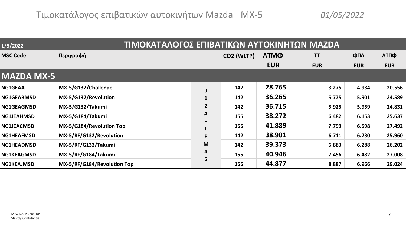| 1/5/2022          | <u>ΤΙΜΟΚΑΤΑΛΟΓΟΣ ΕΠΙΒΑΤΙΚΩΝ ΑΥΤΟΚΙΝΗΤΩΝ ΜΑΖDΑ</u> |                |            |             |            |            |            |
|-------------------|---------------------------------------------------|----------------|------------|-------------|------------|------------|------------|
| <b>MSC Code</b>   | Περιγραφή                                         |                | CO2 (WLTP) | <b>ЛТМФ</b> | <b>TT</b>  | ФПА        | ΛΤΠΦ       |
|                   |                                                   |                |            | <b>EUR</b>  | <b>EUR</b> | <b>EUR</b> | <b>EUR</b> |
| <b>MAZDA MX-5</b> |                                                   |                |            |             |            |            |            |
| <b>NG1GEAA</b>    | MX-5/G132/Challenge                               |                | 142        | 28.765      | 3.275      | 4.934      | 20.556     |
| <b>NG1GEABMSD</b> | MX-5/G132/Revolution                              |                | 142        | 36.265      | 5.775      | 5.901      | 24.589     |
| <b>NG1GEAGMSD</b> | MX-5/G132/Takumi                                  | $\overline{2}$ | 142        | 36.715      | 5.925      | 5.959      | 24.831     |
| <b>NG1JEAHMSD</b> | MX-5/G184/Takumi                                  | A              | 155        | 38.272      | 6.482      | 6.153      | 25.637     |
| <b>NG1JEACMSD</b> | MX-5/G184/Revolution Top                          |                | 155        | 41.889      | 7.799      | 6.598      | 27.492     |
| <b>NG1HEAFMSD</b> | MX-5/RF/G132/Revolution                           | P              | 142        | 38.901      | 6.711      | 6.230      | 25.960     |
| <b>NG1HEADMSD</b> | MX-5/RF/G132/Takumi                               | M              | 142        | 39.373      | 6.883      | 6.288      | 26.202     |
| <b>NG1KEAGMSD</b> | MX-5/RF/G184/Takumi                               | #              | 155        | 40.946      | 7.456      | 6.482      | 27.008     |
| <b>NG1KEAJMSD</b> | MX-5/RF/G184/Revolution Top                       | 5.             | 155        | 44.877      | 8.887      | 6.966      | 29.024     |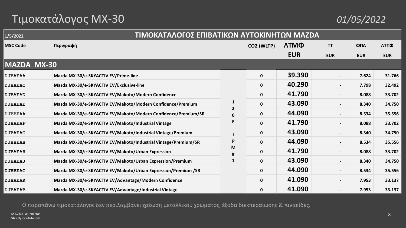# Τιμοκατάλογος MX-30 *01/05/2022*

| 1/5/2022           | ΤΙΜΟΚΑΤΑΛΟΓΟΣ ΕΠΙΒΑΤΙΚΩΝ ΑΥΤΟΚΙΝΗΤΩΝ ΜΑΖDΑ                     |   |            |            |                          |            |            |
|--------------------|----------------------------------------------------------------|---|------------|------------|--------------------------|------------|------------|
| <b>MSC Code</b>    | Περιγραφή                                                      |   | CO2 (WLTP) | ЛТМФ       | <b>TT</b>                | ФПА        | ΛΤΠΦ       |
|                    |                                                                |   |            | <b>EUR</b> | <b>EUR</b>               | <b>EUR</b> | <b>EUR</b> |
| <b>MAZDA MX-30</b> |                                                                |   |            |            |                          |            |            |
| <b>DJBAEAA</b>     | Mazda MX-30/e-SKYACTIV EV/Prime-line                           |   | 0          | 39.390     | $\overline{\phantom{a}}$ | 7.624      | 31.766     |
| <b>DJBAEAC</b>     | Mazda MX-30/e-SKYACTIV EV/Exclusive-line                       |   | 0          | 40.290     | $\overline{\phantom{a}}$ | 7.798      | 32.492     |
| <b>DJBAEAD</b>     | Mazda MX-30/e-SKYACTIV EV/Makoto/Modern Confidence             |   | 0          | 41.790     | $\overline{\phantom{a}}$ | 8.088      | 33.702     |
| <b>DJBAEAE</b>     | Mazda MX-30/e-SKYACTIV EV/Makoto/Modern Confidence/Premium     |   | 0          | 43.090     | $\overline{\phantom{a}}$ | 8.340      | 34.750     |
| <b>DJBBEAA</b>     | Mazda MX-30/e-SKYACTIV EV/Makoto/Modern Confidence/Premium/SR  |   | 0          | 44.090     | $\overline{\phantom{a}}$ | 8.534      | 35.556     |
| <b>DJBAEAF</b>     | Mazda MX-30/e-SKYACTIV EV/Makoto/Industrial Vintage            |   | 0          | 41.790     | $\blacksquare$           | 8.088      | 33.702     |
| <b>DJBAEAG</b>     | Mazda MX-30/e-SKYACTIV EV/Makoto/Industrial Vintage/Premium    |   | 0          | 43.090     | $\overline{\phantom{a}}$ | 8.340      | 34.750     |
| <b>DJBBEAB</b>     | Mazda MX-30/e-SKYACTIV EV/Makoto/Industrial Vintage/Premium/SR |   | 0          | 44.090     | $\overline{\phantom{a}}$ | 8.534      | 35.556     |
| <b>DJBAEAH</b>     | Mazda MX-30/e-SKYACTIV EV/Makoto/Urban Expression              | M | 0          | 41.790     | $\overline{\phantom{a}}$ | 8.088      | 33.702     |
| <b>DJBAEAJ</b>     | Mazda MX-30/e-SKYACTIV EV/Makoto/Urban Expression/Premium      | 1 | 0          | 43.090     | $\overline{\phantom{a}}$ | 8.340      | 34.750     |
| <b>DJBBEAC</b>     | Mazda MX-30/e-SKYACTIV EV/Makoto/Urban Expression/Premium /SR  |   | 0          | 44.090     | $\overline{\phantom{a}}$ | 8.534      | 35.556     |
| <b>DJBAEAK</b>     | Mazda MX-30/e-SKYACTIV EV/Advantage/Modern Confidence          |   | 0          | 41.090     | $\overline{\phantom{a}}$ | 7.953      | 33.137     |
| <b>DJBAEAB</b>     | Mazda MX-30/e-SKYACTIV EV/Advantage/Industrial Vintage         |   | 0          | 41.090     | $\blacksquare$           | 7.953      | 33.137     |

Ο παραπάνω τιμοκατάλογος δεν περιλαμβάνει χρέωση μεταλλικού χρώματος, έξοδα διεκπεραίωσης & πινακίδες.

MAZDA AutoOne Strictly Confidential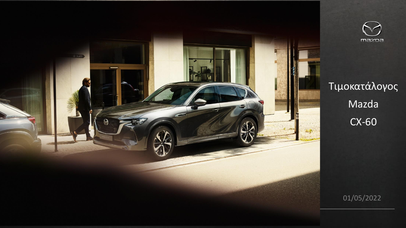



# Τιμοκατάλογος Mazda CX -60

01/05/2022